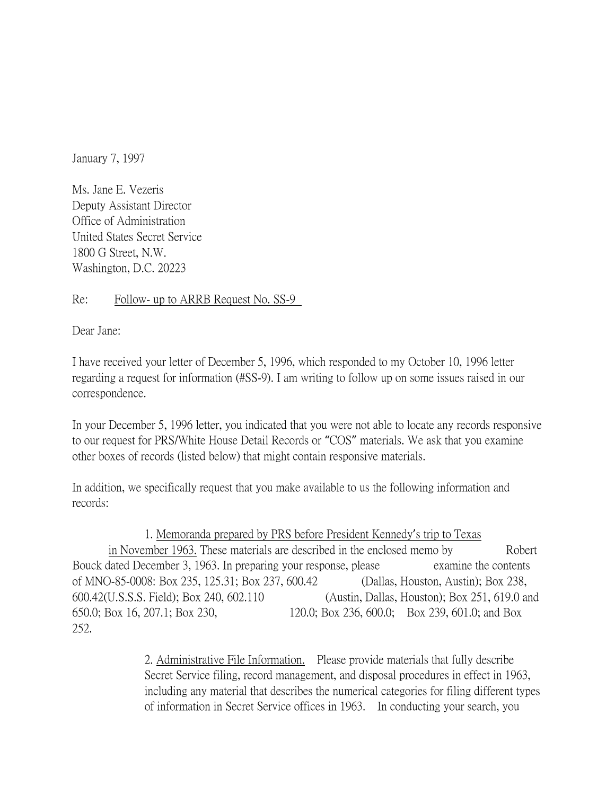January 7, 1997

Ms. Jane E. Vezeris Deputy Assistant Director Office of Administration United States Secret Service 1800 G Street, N.W. Washington, D.C. 20223

## Re: Follow- up to ARRB Request No. SS-9

Dear Jane:

I have received your letter of December 5, 1996, which responded to my October 10, 1996 letter regarding a request for information (#SS-9). I am writing to follow up on some issues raised in our correspondence.

In your December 5, 1996 letter, you indicated that you were not able to locate any records responsive to our request for PRS/White House Detail Records or "COS" materials. We ask that you examine other boxes of records (listed below) that might contain responsive materials.

In addition, we specifically request that you make available to us the following information and records:

## 1. Memoranda prepared by PRS before President Kennedy's trip to Texas

in November 1963. These materials are described in the enclosed memo by Robert Bouck dated December 3, 1963. In preparing your response, please examine the contents of MNO-85-0008: Box 235, 125.31; Box 237, 600.42 (Dallas, Houston, Austin); Box 238, 600.42(U.S.S.S. Field); Box 240, 602.110 (Austin, Dallas, Houston); Box 251, 619.0 and 650.0; Box 16, 207.1; Box 230, 120.0; Box 236, 600.0; Box 239, 601.0; and Box 252.

> 2. Administrative File Information. Please provide materials that fully describe Secret Service filing, record management, and disposal procedures in effect in 1963, including any material that describes the numerical categories for filing different types of information in Secret Service offices in 1963. In conducting your search, you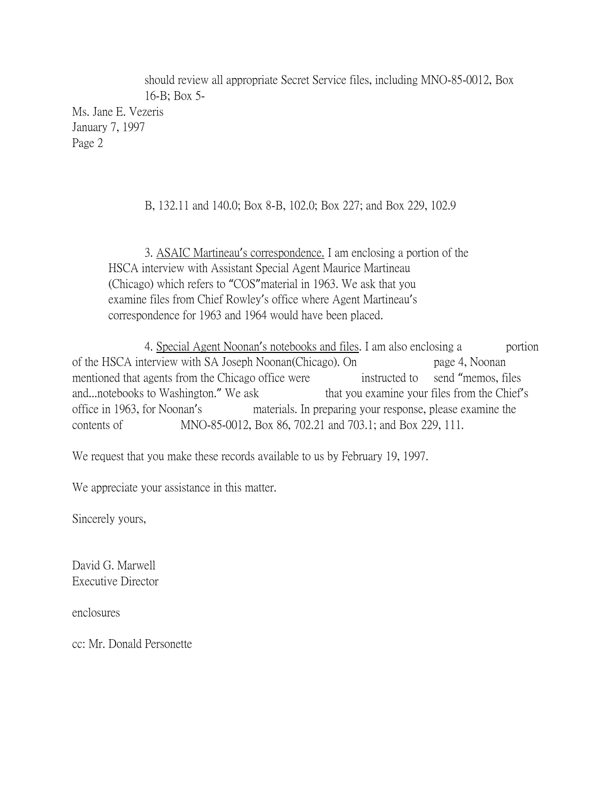should review all appropriate Secret Service files, including MNO-85-0012, Box 16-B; Box 5-

Ms. Jane E. Vezeris January 7, 1997 Page 2

B, 132.11 and 140.0; Box 8-B, 102.0; Box 227; and Box 229, 102.9

3. ASAIC Martineau's correspondence. I am enclosing a portion of the HSCA interview with Assistant Special Agent Maurice Martineau (Chicago) which refers to "COS"material in 1963. We ask that you examine files from Chief Rowley's office where Agent Martineau's correspondence for 1963 and 1964 would have been placed.

4. Special Agent Noonan's notebooks and files. I am also enclosing a portion of the HSCA interview with SA Joseph Noonan(Chicago). On page 4, Noonan mentioned that agents from the Chicago office were instructed to send "memos, files and...notebooks to Washington." We ask that you examine your files from the Chief's office in 1963, for Noonan's materials. In preparing your response, please examine the contents of MNO-85-0012, Box 86, 702.21 and 703.1; and Box 229, 111.

We request that you make these records available to us by February 19, 1997.

We appreciate your assistance in this matter.

Sincerely yours,

David G. Marwell Executive Director

enclosures

cc: Mr. Donald Personette